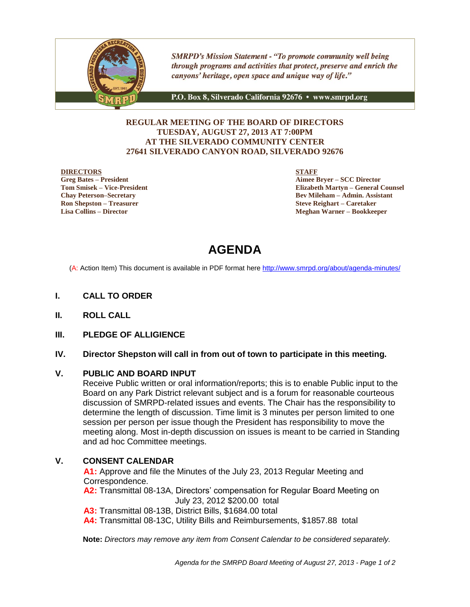

**SMRPD's Mission Statement - "To promote community well being** through programs and activities that protect, preserve and enrich the canyons' heritage, open space and unique way of life."

P.O. Box 8, Silverado California 92676 · www.smrpd.org

#### **REGULAR MEETING OF THE BOARD OF DIRECTORS TUESDAY, AUGUST 27, 2013 AT 7:00PM AT THE SILVERADO COMMUNITY CENTER 27641 SILVERADO CANYON ROAD, SILVERADO 92676**

#### **DIRECTORS**

**Greg Bates – President Tom Smisek – Vice-President Chay Peterson–Secretary Ron Shepston – Treasurer Lisa Collins – Director**

**STAFF**

**Aimee Bryer – SCC Director Elizabeth Martyn – General Counsel Bev Mileham – Admin. Assistant Steve Reighart – Caretaker Meghan Warner – Bookkeeper**

# **AGENDA**

(A: Action Item) This document is available in PDF format here <http://www.smrpd.org/>about/agenda-minutes/

- **I. CALL TO ORDER**
- **II. ROLL CALL**
- **III. PLEDGE OF ALLIGIENCE**

#### **IV. Director Shepston will call in from out of town to participate in this meeting.**

#### **V. PUBLIC AND BOARD INPUT**

Receive Public written or oral information/reports; this is to enable Public input to the Board on any Park District relevant subject and is a forum for reasonable courteous discussion of SMRPD-related issues and events. The Chair has the responsibility to determine the length of discussion. Time limit is 3 minutes per person limited to one session per person per issue though the President has responsibility to move the meeting along. Most in-depth discussion on issues is meant to be carried in Standing and ad hoc Committee meetings.

# **V. CONSENT CALENDAR**

**A1:** Approve and file the Minutes of the July 23, 2013 Regular Meeting and Correspondence.

**A2:** Transmittal 08-13A, Directors' compensation for Regular Board Meeting on July 23, 2012 \$200.00 total

**A3:** Transmittal 08-13B, District Bills, \$1684.00 total

**A4:** Transmittal 08-13C, Utility Bills and Reimbursements, \$1857.88 total

**Note:** *Directors may remove any item from Consent Calendar to be considered separately.*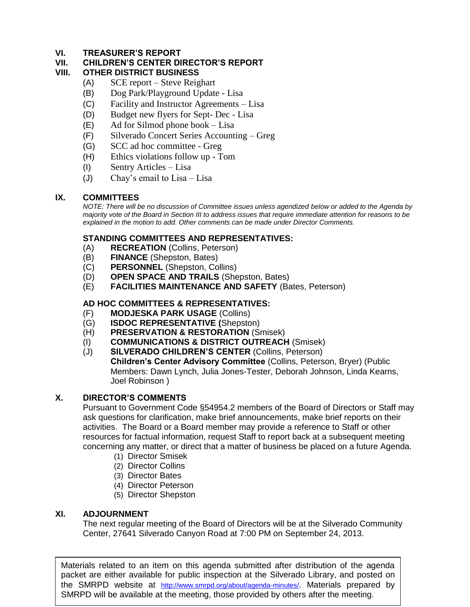# **VI. TREASURER'S REPORT**

# **VII. CHILDREN'S CENTER DIRECTOR'S REPORT**

# **OTHER DISTRICT BUSINESS**

- (A) SCE report Steve Reighart
- (B) Dog Park/Playground Update Lisa
- (C) Facility and Instructor Agreements Lisa
- (D) Budget new flyers for Sept- Dec Lisa
- (E) Ad for Silmod phone book Lisa
- (F) Silverado Concert Series Accounting Greg
- (G) SCC ad hoc committee Greg
- (H) Ethics violations follow up Tom
- (I) Sentry Articles Lisa
- (J) Chay's email to Lisa Lisa

# **IX. COMMITTEES**

*NOTE: There will be no discussion of Committee issues unless agendized below or added to the Agenda by majority vote of the Board in Section III to address issues that require immediate attention for reasons to be explained in the motion to add. Other comments can be made under Director Comments.*

# **STANDING COMMITTEES AND REPRESENTATIVES:**

- (A) **RECREATION** (Collins, Peterson)
- (B) **FINANCE** (Shepston, Bates)
- (C) **PERSONNEL** (Shepston, Collins)
- (D) **OPEN SPACE AND TRAILS** (Shepston, Bates)
- (E) **FACILITIES MAINTENANCE AND SAFETY** (Bates, Peterson)

# **AD HOC COMMITTEES & REPRESENTATIVES:**

- (F) **MODJESKA PARK USAGE** (Collins)
- (G) **ISDOC REPRESENTATIVE (**Shepston)
- (H) **PRESERVATION & RESTORATION** (Smisek)
- (I) **COMMUNICATIONS & DISTRICT OUTREACH** (Smisek)
- (J) **SILVERADO CHILDREN'S CENTER** (Collins, Peterson) **Children's Center Advisory Committee** (Collins, Peterson, Bryer) (Public Members: Dawn Lynch, Julia Jones-Tester, Deborah Johnson, Linda Kearns, Joel Robinson )

# **X. DIRECTOR'S COMMENTS**

Pursuant to Government Code §54954.2 members of the Board of Directors or Staff may ask questions for clarification, make brief announcements, make brief reports on their activities. The Board or a Board member may provide a reference to Staff or other resources for factual information, request Staff to report back at a subsequent meeting concerning any matter, or direct that a matter of business be placed on a future Agenda.

- (1) Director Smisek
- (2) Director Collins
- (3) Director Bates
- (4) Director Peterson
- (5) Director Shepston

# **XI. ADJOURNMENT**

The next regular meeting of the Board of Directors will be at the Silverado Community Center, 27641 Silverado Canyon Road at 7:00 PM on September 24, 2013.

Materials related to an item on this agenda submitted after distribution of the agenda packet are either available for public inspection at the Silverado Library, and posted on the SMRPD website at <http://www.smrpd.org/>about/agenda-minutes/. Materials prepared by SMRPD will be available at the meeting, those provided by others after the meeting.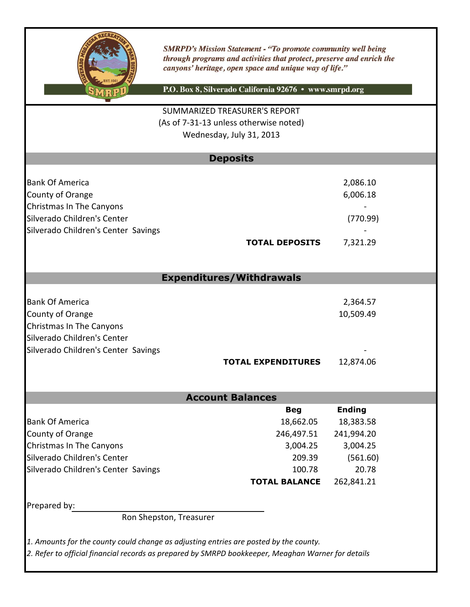

**SMRPD's Mission Statement - "To promote community well being** through programs and activities that protect, preserve and enrich the canyons' heritage, open space and unique way of life."

P.O. Box 8, Silverado California 92676 · www.smrpd.org

# (As of 7-31-13 unless otherwise noted) SUMMARIZED TREASURER'S REPORT Wednesday, July 31, 2013

|                                     | <b>Deposits</b>       |          |
|-------------------------------------|-----------------------|----------|
|                                     |                       |          |
| <b>Bank Of America</b>              |                       | 2,086.10 |
| County of Orange                    |                       | 6,006.18 |
| Christmas In The Canyons            |                       |          |
| Silverado Children's Center         |                       | (770.99) |
| Silverado Children's Center Savings |                       |          |
|                                     | <b>TOTAL DEPOSITS</b> | 7,321.29 |

# **Expenditures/Withdrawals**

| <b>Bank Of America</b>              |                           | 2,364.57  |
|-------------------------------------|---------------------------|-----------|
| County of Orange                    |                           | 10,509.49 |
| Christmas In The Canyons            |                           |           |
| Silverado Children's Center         |                           |           |
| Silverado Children's Center Savings |                           |           |
|                                     | <b>TOTAL EXPENDITURES</b> | 12,874.06 |

# **Account Balances**

|                                     | <b>Beg</b>           | <b>Ending</b> |
|-------------------------------------|----------------------|---------------|
| <b>Bank Of America</b>              | 18,662.05            | 18,383.58     |
| County of Orange                    | 246,497.51           | 241,994.20    |
| Christmas In The Canyons            | 3,004.25             | 3,004.25      |
| Silverado Children's Center         | 209.39               | (561.60)      |
| Silverado Children's Center Savings | 100.78               | 20.78         |
|                                     | <b>TOTAL BALANCE</b> | 262,841.21    |
|                                     |                      |               |

Prepared by:

Ron Shepston, Treasurer

*1. Amounts for the county could change as adjusting entries are posted by the county.*

*2. Refer to official financial records as prepared by SMRPD bookkeeper, Meaghan Warner for details*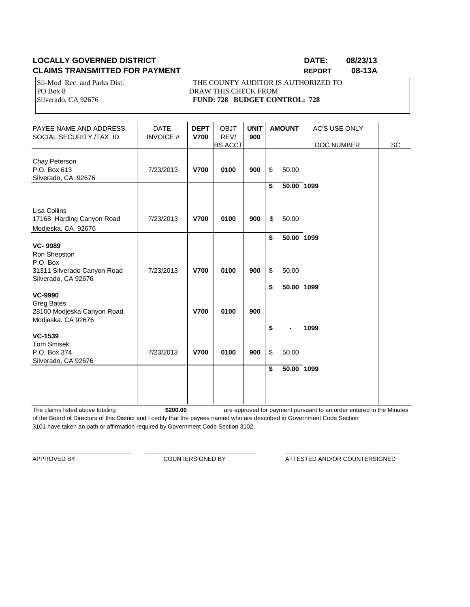# **LOCALLY GOVERNED DISTRICT DATE: 08/23/13 CLAIMS TRANSMITTED FOR PAYMENT REPORT 08-13A**

PO Box 8 DRAW THIS CHECK FROM

Sil-Mod Rec. and Parks Dist. THE COUNTY AUDITOR IS AUTHORIZED TO Silverado, CA 92676 **FUND: 728 BUDGET CONTROL: 728** 

| PAYEE NAME AND ADDRESS<br>SOCIAL SECURITY /TAX ID                              | <b>DATE</b><br><b>INVOICE#</b> | <b>DEPT</b><br><b>V700</b> | <b>OBJT</b><br>REV/<br><b>BS ACCT</b> | <b>UNIT</b><br>900 | <b>AMOUNT</b>                 | <b>AC'S USE ONLY</b><br>DOC NUMBER | SC |
|--------------------------------------------------------------------------------|--------------------------------|----------------------------|---------------------------------------|--------------------|-------------------------------|------------------------------------|----|
| Chay Peterson<br>P.O. Box 613<br>Silverado, CA 92676                           | 7/23/2013                      | <b>V700</b>                | 0100                                  | 900                | \$<br>50.00                   |                                    |    |
|                                                                                |                                |                            |                                       |                    | \$<br>$\overline{50.00}$ 1099 |                                    |    |
| Lisa Collins<br>17168 Harding Canyon Road<br>Modjeska, CA 92676                | 7/23/2013                      | <b>V700</b>                | 0100                                  | 900                | \$<br>50.00                   |                                    |    |
| <b>VC-9989</b>                                                                 |                                |                            |                                       |                    | \$<br>50.00 1099              |                                    |    |
| Ron Shepston<br>P.O. Box<br>31311 Silverado Canyon Road<br>Silverado, CA 92676 | 7/23/2013                      | <b>V700</b>                | 0100                                  | 900                | \$<br>50.00                   |                                    |    |
| <b>VC-9990</b>                                                                 |                                |                            |                                       |                    | \$<br>$\overline{50.00}$ 1099 |                                    |    |
| <b>Greg Bates</b><br>28100 Modjeska Canyon Road<br>Modjeska, CA 92676          |                                | <b>V700</b>                | 0100                                  | 900                |                               |                                    |    |
| <b>VC-1539</b>                                                                 |                                |                            |                                       |                    | \$                            | 1099                               |    |
| <b>Tom Smisek</b><br>P.O. Box 374<br>Silverado, CA 92676                       | 7/23/2013                      | <b>V700</b>                | 0100                                  | 900                | \$<br>50.00                   |                                    |    |
|                                                                                |                                |                            |                                       |                    | \$<br>$\overline{50.00}$ 1099 |                                    |    |
|                                                                                |                                |                            |                                       |                    |                               |                                    |    |

The claims listed above totaling **\$200.00** of the Board of Directors of this District and I certify that the payees named who are described in Government Code Section 3101 have taken an oath or affirmation required by Government Code Section 3102. are approved for payment pursuant to an order entered in the Minutes

\_\_\_\_\_\_\_\_\_\_\_\_\_\_\_\_\_\_\_\_\_\_\_\_\_\_\_\_\_\_ \_\_\_\_\_\_\_\_\_\_\_\_\_\_\_\_\_\_\_\_\_\_\_\_\_\_\_\_\_\_\_\_\_ \_\_\_\_\_\_\_\_\_\_\_\_\_\_\_\_\_\_\_\_\_\_\_\_\_\_\_\_\_\_\_\_\_\_

APPROVED BY **COUNTERSIGNED BY COUNTERSIGNED BY ATTESTED AND/OR COUNTERSIGNED**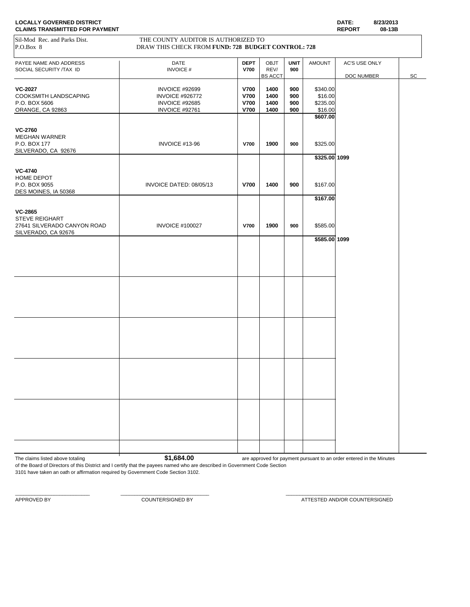| PAYEE NAME AND ADDRESS                             | <b>DATE</b>             | <b>DEPT</b> | OBJT           | <b>UNIT</b> | <b>AMOUNT</b>  | AC'S USE ONLY |    |
|----------------------------------------------------|-------------------------|-------------|----------------|-------------|----------------|---------------|----|
| SOCIAL SECURITY /TAX ID                            | <b>INVOICE#</b>         | <b>V700</b> | REV/           | 900         |                |               |    |
|                                                    |                         |             | <b>BS ACCT</b> |             |                | DOC NUMBER    | SC |
| <b>VC-2027</b>                                     | INVOICE #92699          | <b>V700</b> | 1400           | 900         | \$340.00       |               |    |
| COOKSMITH LANDSCAPING                              | <b>INVOICE #926772</b>  | <b>V700</b> | 1400           | 900         | \$16.00        |               |    |
| P.O. BOX 5606                                      | INVOICE #92685          | <b>V700</b> | 1400           | 900         | \$235.00       |               |    |
| ORANGE, CA 92863                                   | INVOICE #92761          | <b>V700</b> | 1400           | 900         | \$16.00        |               |    |
|                                                    |                         |             |                |             | \$607.00       |               |    |
| <b>VC-2760</b>                                     |                         |             |                |             |                |               |    |
| <b>MEGHAN WARNER</b>                               |                         |             |                |             |                |               |    |
| P.O. BOX 177<br>SILVERADO, CA 92676                | INVOICE #13-96          | <b>V700</b> | 1900           | 900         | \$325.00       |               |    |
|                                                    |                         |             |                |             | \$325.00 1099  |               |    |
| <b>VC-4740</b>                                     |                         |             |                |             |                |               |    |
| HOME DEPOT                                         |                         |             |                |             |                |               |    |
| P.O. BOX 9055<br>DES MOINES, IA 50368              | INVOICE DATED: 08/05/13 | <b>V700</b> | 1400           | 900         | \$167.00       |               |    |
|                                                    |                         |             |                |             | \$167.00       |               |    |
| <b>VC-2865</b>                                     |                         |             |                |             |                |               |    |
| STEVE REIGHART                                     |                         |             |                |             |                |               |    |
| 27641 SILVERADO CANYON ROAD<br>SILVERADO, CA 92676 | <b>INVOICE #100027</b>  | <b>V700</b> | 1900           | 900         | \$585.00       |               |    |
|                                                    |                         |             |                |             | $$585.00$ 1099 |               |    |
|                                                    |                         |             |                |             |                |               |    |
|                                                    |                         |             |                |             |                |               |    |
|                                                    |                         |             |                |             |                |               |    |
|                                                    |                         |             |                |             |                |               |    |
|                                                    |                         |             |                |             |                |               |    |
|                                                    |                         |             |                |             |                |               |    |
|                                                    |                         |             |                |             |                |               |    |
|                                                    |                         |             |                |             |                |               |    |
|                                                    |                         |             |                |             |                |               |    |
|                                                    |                         |             |                |             |                |               |    |
|                                                    |                         |             |                |             |                |               |    |
|                                                    |                         |             |                |             |                |               |    |
|                                                    |                         |             |                |             |                |               |    |
|                                                    |                         |             |                |             |                |               |    |
|                                                    |                         |             |                |             |                |               |    |
|                                                    |                         |             |                |             |                |               |    |
|                                                    |                         |             |                |             |                |               |    |
|                                                    |                         |             |                |             |                |               |    |
|                                                    |                         |             |                |             |                |               |    |
|                                                    |                         |             |                |             |                |               |    |

\_\_\_\_\_\_\_\_\_\_\_\_\_\_\_\_\_\_\_\_\_\_\_\_\_\_\_ \_\_\_\_\_\_\_\_\_\_\_\_\_\_\_\_\_\_\_\_\_\_\_\_\_\_\_\_\_\_\_\_ \_\_\_\_\_\_\_\_\_\_\_\_\_\_\_\_\_\_\_\_\_\_\_\_\_\_\_\_\_\_\_\_\_\_\_\_\_\_

The claims listed above totaling **\$1,684.00** are approved for payment pursuant to an order entered in the Minutes

of the Board of Directors of this District and I certify that the payees named who are described in Government Code Section 3101 have taken an oath or affirmation required by Government Code Section 3102.

APPROVED BY COUNTERSIGNED BY COUNTERSIGNED BY ATTESTED AND/OR COUNTERSIGNED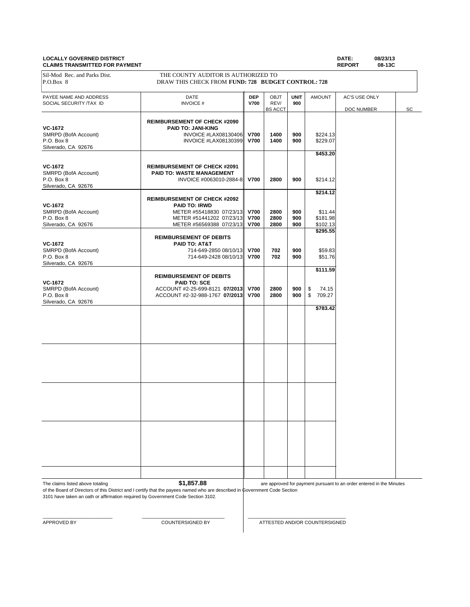#### **LOCALLY GOVERNED DISTRICT DATE: 08/23/13 CLAIMS TRANSMITTED FOR PAYMENT**

PAYEE NAME AND ADDRESS **DATE DEP** OBJT **UNIT** AMOUNT AC'S USE ONLY **DATE DEP** OBJT **UNIT** AMOUNT AC'S USE ONLY **DATE DEP DEP DEP DEP DEP DEP DEP DEP DEP DEP DEP DEP DEP DEP DEP DEP DEP** SOCIAL SECURITY /TAX ID **INVOICE # V700** REV/ 900<br>
BS ACCT DOC NUMBER SC **REIMBURSEMENT OF CHECK #2090 VC-1672**<br> **PAID TO: JANI-KING**<br>
INVOICE #LAX08130406 SMRPD (BofA Account) INVOICE #LAX08130406 **V700 1400 900** \$224.13 P.O. Box 8 INVOICE #LAX08130399 **V700 1400 900** \$229.07 Silverado, CA 92676 **\$453.20 VC-1672 REIMBURSEMENT OF CHECK #2091** SMRPD (BofA Account) **PAID TO: WASTE MANAGEMENT**<br>P.O. Box 8 **INVOICE** #0063010-288 P.O. Box 8 INVOICE #0063010-2884-8 **V700 2800 900** \$214.12 Silverado, CA 92676 **\$214.12 REIMBURSEMENT OF CHECK #2092 VC-1672 PAID TO: IRWD** SMRPD (BofA Account) METER #55418830 07/23/13 **V700** 2800 900 \$11.44<br>P.O. Box 8 **11.44** P.O. Box 8 **12.98** P.O. Box 8 **METER #51441202 07/23/13 V700 2800 900** \$181.98<br>Silverado, CA 92676 METER #56569388 07/23/13 **V700 2800** 900 \$102.13 METER #56569388 07/23/13 V700 **\$295.55 REIMBURSEMENT OF DEBITS VC-1672 PAID TO: AT&T**<br>
SMRPD (BofA Account) **PAID TO: AT&T**<br>
714-649-2850 08/10/13 SMRPD (BofA Account) 714-649-2850 08/10/13 **V700 702 900** \$59.83 P.O. Box 8 714-649-2428 08/10/13 **V700 702 900** \$51.76 Silverado, CA 92676 **\$111.59 REIMBURSEMENT OF DEBITS VC-1672 PAID TO: SCE** SMRPD (BofA Account)  $ACCOUNT$  #2-25-699-8121 **07/2013 V700 2800 900** \$ 74.15<br>P.O. Box 8 **2800 2800 2800** \$ 709.27  $ACCOUNT$  #2-32-988-1767 **07/2013** Silverado, CA 92676 **\$783.42** Sil-Mod Rec. and Parks Dist. THE COUNTY AUDITOR IS AUTHORIZED TO P.O.Box 8 DRAW THIS CHECK FROM **FUND: 728 BUDGET CONTROL: 728**

The claims listed above totaling **\$1,857.88** 

of the Board of Directors of this District and I certify that the payees named who are described in Government Code Section are approved for payment pursuant to an order entered in the Minutes

3101 have taken an oath or affirmation required by Government Code Section 3102.

 $\_$  , and the set of the set of the set of the set of the set of the set of the set of the set of the set of the set of the set of the set of the set of the set of the set of the set of the set of the set of the set of th

APPROVED BY COUNTERSIGNED BY ATTESTED AND/OR COUNTERSIGNED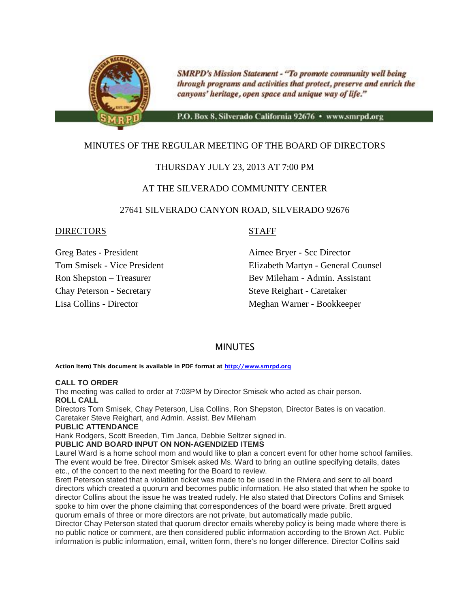

**SMRPD's Mission Statement - "To promote community well being** through programs and activities that protect, preserve and enrich the canyons' heritage, open space and unique way of life."

P.O. Box 8, Silverado California 92676 · www.smrpd.org

# MINUTES OF THE REGULAR MEETING OF THE BOARD OF DIRECTORS

# THURSDAY JULY 23, 2013 AT 7:00 PM

# AT THE SILVERADO COMMUNITY CENTER

#### 27641 SILVERADO CANYON ROAD, SILVERADO 92676

#### DIRECTORS STAFF

Chay Peterson - Secretary Steve Reighart - Caretaker

Greg Bates - President Aimee Bryer - Scc Director Tom Smisek - Vice President Elizabeth Martyn - General Counsel Ron Shepston – Treasurer Bev Mileham - Admin. Assistant Lisa Collins - Director Meghan Warner - Bookkeeper

# **MINUTES**

**Action Item) This document is available in PDF format at [http://www.smrpd.org](http://www.smrpd.org/)**

#### **CALL TO ORDER**

The meeting was called to order at 7:03PM by Director Smisek who acted as chair person. **ROLL CALL**

Directors Tom Smisek, Chay Peterson, Lisa Collins, Ron Shepston, Director Bates is on vacation. Caretaker Steve Reighart, and Admin. Assist. Bev Mileham

#### **PUBLIC ATTENDANCE**

Hank Rodgers, Scott Breeden, Tim Janca, Debbie Seltzer signed in.

#### **PUBLIC AND BOARD INPUT ON NON-AGENDIZED ITEMS**

Laurel Ward is a home school mom and would like to plan a concert event for other home school families. The event would be free. Director Smisek asked Ms. Ward to bring an outline specifying details, dates etc., of the concert to the next meeting for the Board to review.

Brett Peterson stated that a violation ticket was made to be used in the Riviera and sent to all board directors which created a quorum and becomes public information. He also stated that when he spoke to director Collins about the issue he was treated rudely. He also stated that Directors Collins and Smisek spoke to him over the phone claiming that correspondences of the board were private. Brett argued quorum emails of three or more directors are not private, but automatically made public.

Director Chay Peterson stated that quorum director emails whereby policy is being made where there is no public notice or comment, are then considered public information according to the Brown Act. Public information is public information, email, written form, there's no longer difference. Director Collins said